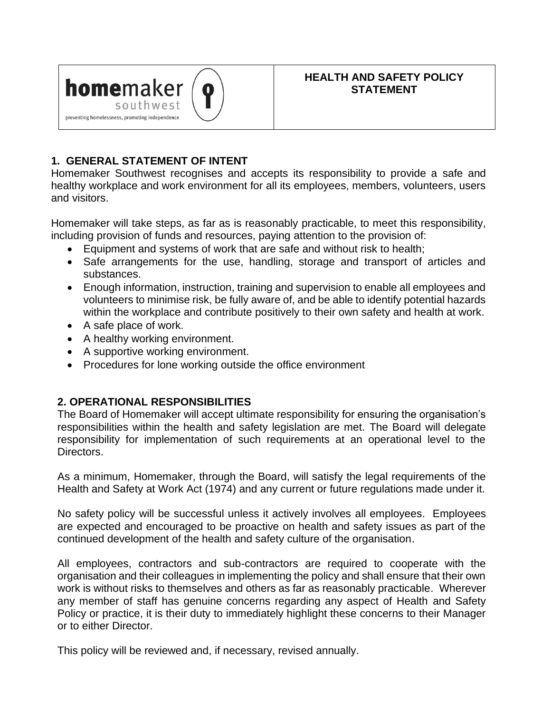

## **HEALTH AND SAFETY POLICY STATEMENT**

## **1. GENERAL STATEMENT OF INTENT**

Homemaker Southwest recognises and accepts its responsibility to provide a safe and healthy workplace and work environment for all its employees, members, volunteers, users and visitors.

Homemaker will take steps, as far as is reasonably practicable, to meet this responsibility, including provision of funds and resources, paying attention to the provision of:

- Equipment and systems of work that are safe and without risk to health;
- Safe arrangements for the use, handling, storage and transport of articles and substances.
- Enough information, instruction, training and supervision to enable all employees and volunteers to minimise risk, be fully aware of, and be able to identify potential hazards within the workplace and contribute positively to their own safety and health at work.
- A safe place of work.
- A healthy working environment.
- A supportive working environment.
- Procedures for lone working outside the office environment

## **2. OPERATIONAL RESPONSIBILITIES**

The Board of Homemaker will accept ultimate responsibility for ensuring the organisation's responsibilities within the health and safety legislation are met. The Board will delegate responsibility for implementation of such requirements at an operational level to the Directors.

As a minimum, Homemaker, through the Board, will satisfy the legal requirements of the Health and Safety at Work Act (1974) and any current or future regulations made under it.

No safety policy will be successful unless it actively involves all employees. Employees are expected and encouraged to be proactive on health and safety issues as part of the continued development of the health and safety culture of the organisation.

All employees, contractors and sub-contractors are required to cooperate with the organisation and their colleagues in implementing the policy and shall ensure that their own work is without risks to themselves and others as far as reasonably practicable. Wherever any member of staff has genuine concerns regarding any aspect of Health and Safety Policy or practice, it is their duty to immediately highlight these concerns to their Manager or to either Director.

This policy will be reviewed and, if necessary, revised annually.